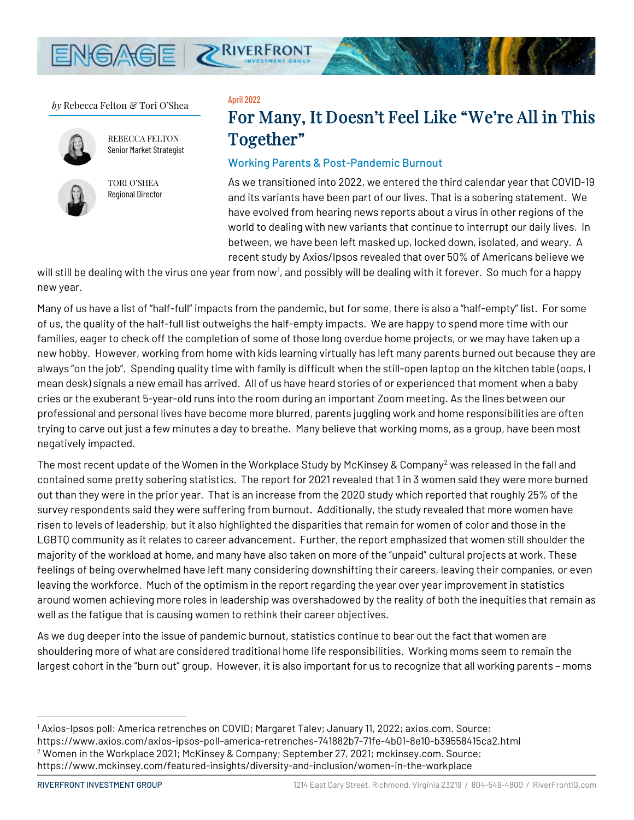

*by* Rebecca Felton & Tori O'Shea



 REBECCA FELTON Senior Market Strategist



TORI O'SHEA Regional Director

#### April 2022

# For Many, It Doesn't Feel Like "We're All in This Together"

### Working Parents & Post-Pandemic Burnout

As we transitioned into 2022, we entered the third calendar year that COVID-19 and its variants have been part of our lives. That is a sobering statement. We have evolved from hearing news reports about a virus in other regions of the world to dealing with new variants that continue to interrupt our daily lives. In between, we have been left masked up, locked down, isolated, and weary. A recent study by Axios/Ipsos revealed that over 50% of Americans believe we

will still be dealing with the virus one year from now<sup>[1](#page-0-0)</sup>, and possibly will be dealing with it forever. So much for a happy new year.

Many of us have a list of "half-full" impacts from the pandemic, but for some, there is also a "half-empty" list. For some of us, the quality of the half-full list outweighs the half-empty impacts. We are happy to spend more time with our families, eager to check off the completion of some of those long overdue home projects, or we may have taken up a new hobby. However, working from home with kids learning virtually has left many parents burned out because they are always "on the job". Spending quality time with family is difficult when the still-open laptop on the kitchen table (oops, I mean desk) signals a new email has arrived. All of us have heard stories of or experienced that moment when a baby cries or the exuberant 5-year-old runs into the room during an important Zoom meeting. As the lines between our professional and personal lives have become more blurred, parents juggling work and home responsibilities are often trying to carve out just a few minutes a day to breathe. Many believe that working moms, as a group, have been most negatively impacted.

The most recent update of the Women in the Workplace Study by McKinsey & Company<sup>[2](#page-0-1)</sup> was released in the fall and contained some pretty sobering statistics. The report for 2021 revealed that 1 in 3 women said they were more burned out than they were in the prior year. That is an increase from the 2020 study which reported that roughly 25% of the survey respondents said they were suffering from burnout. Additionally, the study revealed that more women have risen to levels of leadership, but it also highlighted the disparities that remain for women of color and those in the LGBTQ community as it relates to career advancement. Further, the report emphasized that women still shoulder the majority of the workload at home, and many have also taken on more of the "unpaid" cultural projects at work. These feelings of being overwhelmed have left many considering downshifting their careers, leaving their companies, or even leaving the workforce. Much of the optimism in the report regarding the year over year improvement in statistics around women achieving more roles in leadership was overshadowed by the reality of both the inequities that remain as well as the fatigue that is causing women to rethink their career objectives.

As we dug deeper into the issue of pandemic burnout, statistics continue to bear out the fact that women are shouldering more of what are considered traditional home life responsibilities. Working moms seem to remain the largest cohort in the "burn out" group. However, it is also important for us to recognize that all working parents – moms

<span id="page-0-1"></span><span id="page-0-0"></span><sup>1</sup> Axios-Ipsos poll: America retrenches on COVID; Margaret Talev; January 11, 2022; axios.com. Source: https://www.axios.com/axios-ipsos-poll-america-retrenches-741882b7-71fe-4b01-8e10-b39558415ca2.html <sup>2</sup> Women in the Workplace 2021; McKinsey & Company; September 27, 2021; mckinsey.com. Source: https://www.mckinsey.com/featured-insights/diversity-and-inclusion/women-in-the-workplace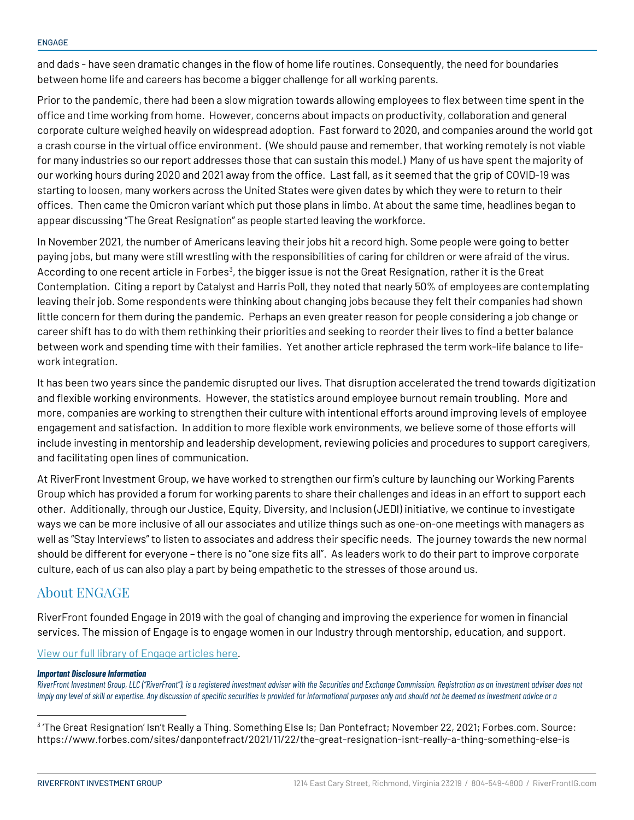and dads - have seen dramatic changes in the flow of home life routines. Consequently, the need for boundaries between home life and careers has become a bigger challenge for all working parents.

Prior to the pandemic, there had been a slow migration towards allowing employees to flex between time spent in the office and time working from home. However, concerns about impacts on productivity, collaboration and general corporate culture weighed heavily on widespread adoption. Fast forward to 2020, and companies around the world got a crash course in the virtual office environment. (We should pause and remember, that working remotely is not viable for many industries so our report addresses those that can sustain this model.) Many of us have spent the majority of our working hours during 2020 and 2021 away from the office. Last fall, as it seemed that the grip of COVID-19 was starting to loosen, many workers across the United States were given dates by which they were to return to their offices. Then came the Omicron variant which put those plans in limbo. At about the same time, headlines began to appear discussing "The Great Resignation" as people started leaving the workforce.

In November 2021, the number of Americans leaving their jobs hit a record high. Some people were going to better paying jobs, but many were still wrestling with the responsibilities of caring for children or were afraid of the virus. According to one recent article in Forbes<sup>[3](#page-1-0)</sup>, the bigger issue is not the Great Resignation, rather it is the Great Contemplation. Citing a report by Catalyst and Harris Poll, they noted that nearly 50% of employees are contemplating leaving their job. Some respondents were thinking about changing jobs because they felt their companies had shown little concern for them during the pandemic. Perhaps an even greater reason for people considering a job change or career shift has to do with them rethinking their priorities and seeking to reorder their lives to find a better balance between work and spending time with their families. Yet another article rephrased the term work-life balance to lifework integration.

It has been two years since the pandemic disrupted our lives. That disruption accelerated the trend towards digitization and flexible working environments. However, the statistics around employee burnout remain troubling. More and more, companies are working to strengthen their culture with intentional efforts around improving levels of employee engagement and satisfaction. In addition to more flexible work environments, we believe some of those efforts will include investing in mentorship and leadership development, reviewing policies and procedures to support caregivers, and facilitating open lines of communication.

At RiverFront Investment Group, we have worked to strengthen our firm's culture by launching our Working Parents Group which has provided a forum for working parents to share their challenges and ideas in an effort to support each other. Additionally, through our Justice, Equity, Diversity, and Inclusion (JEDI) initiative, we continue to investigate ways we can be more inclusive of all our associates and utilize things such as one-on-one meetings with managers as well as "Stay Interviews" to listen to associates and address their specific needs. The journey towards the new normal should be different for everyone – there is no "one size fits all". As leaders work to do their part to improve corporate culture, each of us can also play a part by being empathetic to the stresses of those around us.

## About ENGAGE

RiverFront founded Engage in 2019 with the goal of changing and improving the experience for women in financial services. The mission of Engage is to engage women in our Industry through mentorship, education, and support.

[View our full library of Engage articles here.](https://www.riverfrontig.com/insights/topic/engage)

#### *Important Disclosure Information*

*RiverFront Investment Group, LLC ("RiverFront"), is a registered investment adviser with the Securities and Exchange Commission. Registration as an investment adviser does not imply any level of skill or expertise. Any discussion of specific securities is provided for informational purposes only and should not be deemed as investment advice or a* 

<span id="page-1-0"></span><sup>3</sup> 'The Great Resignation' Isn't Really a Thing. Something Else Is; Dan Pontefract; November 22, 2021; Forbes.com. Source: https://www.forbes.com/sites/danpontefract/2021/11/22/the-great-resignation-isnt-really-a-thing-something-else-is